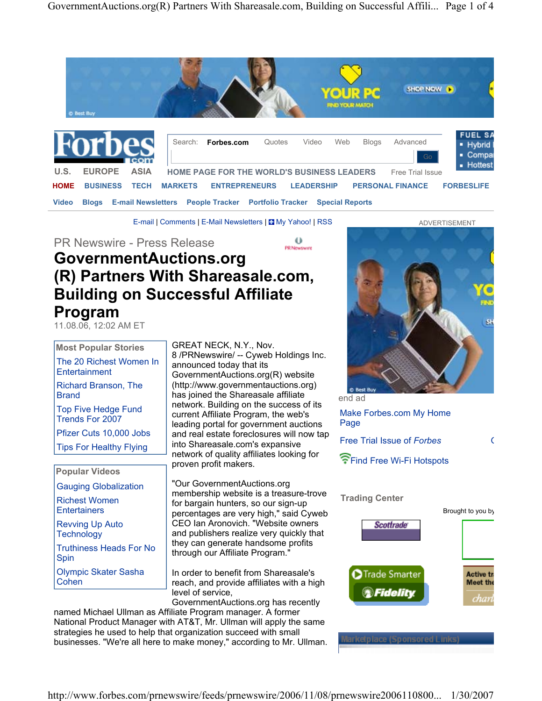

E-mail | Comments | E-Mail Newsletters |  $\Box$  My Yahoo! | RSS

PR Newswire - Press Release

#### 4 b PR Newswire

# **GovernmentAuctions.org (R) Partners With Shareasale.com, Building on Successful Affiliate Program**

11.08.06, 12:02 AM ET

# **Most Popular Stories**

The 20 Richest Women In **Entertainment** 

Richard Branson, The **Brand** 

Top Five Hedge Fund Trends For 2007

Pfizer Cuts 10,000 Jobs

Tips For Healthy Flying

### **Popular Videos**

Gauging Globalization

Richest Women **Entertainers** 

Revving Up Auto **Technology** 

Truthiness Heads For No Spin

Olympic Skater Sasha Cohen

8 /PRNewswire/ -- Cyweb Holdings Inc. announced today that its GovernmentAuctions.org(R) website (http://www.governmentauctions.org) has joined the Shareasale affiliate network. Building on the success of its current Affiliate Program, the web's leading portal for government auctions and real estate foreclosures will now tap

GREAT NECK, N.Y., Nov.

into Shareasale.com's expansive network of quality affiliates looking for proven profit makers.

"Our GovernmentAuctions.org membership website is a treasure-trove for bargain hunters, so our sign-up percentages are very high," said Cyweb CEO Ian Aronovich. "Website owners and publishers realize very quickly that they can generate handsome profits through our Affiliate Program."

In order to benefit from Shareasale's reach, and provide affiliates with a high level of service,

GovernmentAuctions.org has recently named Michael Ullman as Affiliate Program manager. A former National Product Manager with AT&T, Mr. Ullman will apply the same strategies he used to help that organization succeed with small businesses. "We're all here to make money," according to Mr. Ullman.



end ad

Make Forbes.com My Home Page

Free Trial Issue of *Forbes* G

Find Free Wi-Fi Hotspots

#### **Trading Center**

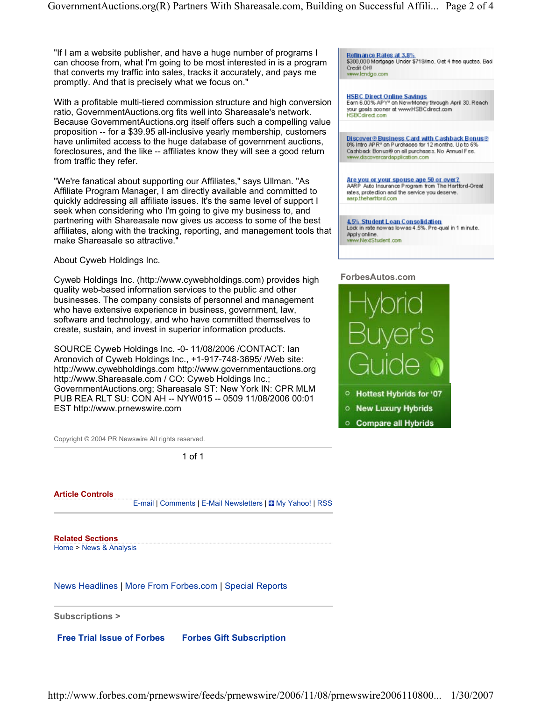"If I am a website publisher, and have a huge number of programs I can choose from, what I'm going to be most interested in is a program that converts my traffic into sales, tracks it accurately, and pays me promptly. And that is precisely what we focus on."

With a profitable multi-tiered commission structure and high conversion ratio, GovernmentAuctions.org fits well into Shareasale's network. Because GovernmentAuctions.org itself offers such a compelling value proposition -- for a \$39.95 all-inclusive yearly membership, customers have unlimited access to the huge database of government auctions, foreclosures, and the like -- affiliates know they will see a good return from traffic they refer.

"We're fanatical about supporting our Affiliates," says Ullman. "As Affiliate Program Manager, I am directly available and committed to quickly addressing all affiliate issues. It's the same level of support I seek when considering who I'm going to give my business to, and partnering with Shareasale now gives us access to some of the best affiliates, along with the tracking, reporting, and management tools that make Shareasale so attractive."

About Cyweb Holdings Inc.

Cyweb Holdings Inc. (http://www.cywebholdings.com) provides high quality web-based information services to the public and other businesses. The company consists of personnel and management who have extensive experience in business, government, law, software and technology, and who have committed themselves to create, sustain, and invest in superior information products.

SOURCE Cyweb Holdings Inc. -0- 11/08/2006 /CONTACT: Ian Aronovich of Cyweb Holdings Inc., +1-917-748-3695/ /Web site: http://www.cywebholdings.com http://www.governmentauctions.org http://www.Shareasale.com / CO: Cyweb Holdings Inc.; GovernmentAuctions.org; Shareasale ST: New York IN: CPR MLM PUB REA RLT SU: CON AH -- NYW015 -- 0509 11/08/2006 00:01 EST http://www.prnewswire.com

Copyright © 2004 PR Newswire All rights reserved.

1 of 1

**Article Controls** 

E-mail | Comments | E-Mail Newsletters | My Yahoo! | RSS

**Related Sections**  Home > News & Analysis

News Headlines | More From Forbes.com | Special Reports

**Subscriptions >**

**Free Trial Issue of Forbes Forbes Gift Subscription**

Refinance Rates at 3.8%<br>\$300,000 Mortgage Under \$719/mo. Get 4 free quotes. Bad Credit OK! vww.lendgo.com

HSBC Direct Online Savings<br>Earn 6.00% APY\* on New Money through April 30. Reach your goals sooner at www.HSBCdirect.com<br>HSBCdirect.com

Discover® Business Card with Cashback Bonus®<br>0% intro APR\* on Purchases for 12 months. Up to 5% Cashback Bonus® on all purchases. No Annual Fee. www.discovercardapplication.com

Are you or your spouse age 50 or over? AARP Auto Insurance Program from The Hartford-Great<br>rates, protection and the service you deserve. aerp.thehertford.com

4.5% Student Loan Consolidation Lock in rate now as low as 4.5%. Pre-qual in 1 minute. Apply online. www.NextStudent.com

#### **ForbesAutos.com**



- <sup>O</sup> Hottest Hybrids for '07
- **O New Luxury Hybrids**
- **Compare all Hybrids**

http://www.forbes.com/prnewswire/feeds/prnewswire/2006/11/08/prnewswire2006110800... 1/30/2007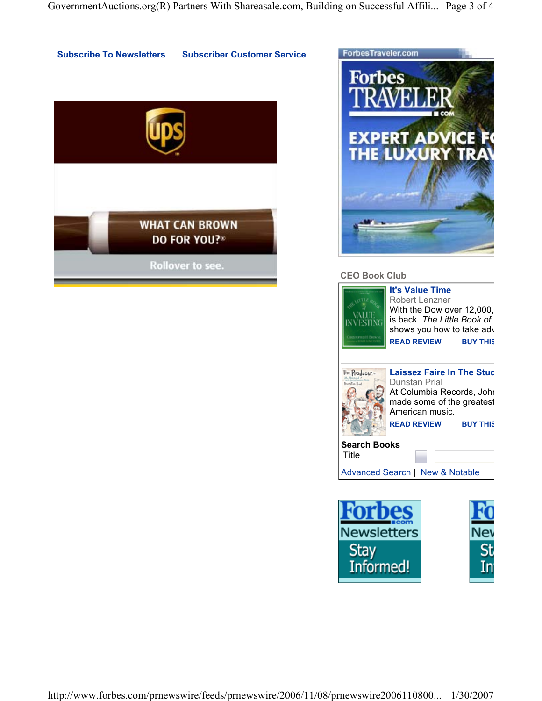



## **CEO Book Club**